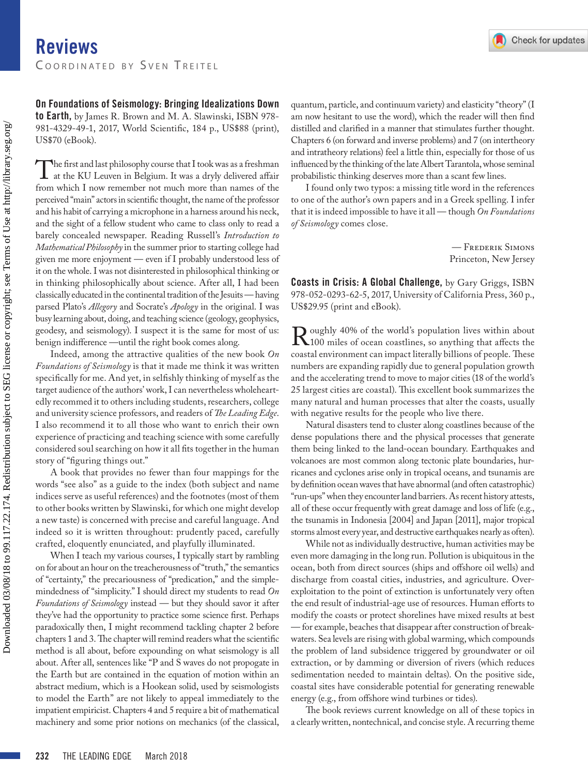On Foundations of Seismology: Bringing Idealizations Down to Earth, by James R. Brown and M. A. Slawinski, ISBN 978- 981-4329-49-1, 2017, World Scientific, 184 p., US\$88 (print), US\$70 (eBook).

The first and last philosophy course that I took was as a freshman<br>at the KU Leuven in Belgium. It was a dryly delivered affair<br>from which I now remember not much more than names of the from which I now remember not much more than names of the perceived "main" actors in scientific thought, the name of the professor and his habit of carrying a microphone in a harness around his neck, and the sight of a fellow student who came to class only to read a barely concealed newspaper. Reading Russell's *Introduction to Mathematical Philosophy* in the summer prior to starting college had given me more enjoyment — even if I probably understood less of it on the whole. I was not disinterested in philosophical thinking or in thinking philosophically about science. After all, I had been classically educated in the continental tradition of the Jesuits — having parsed Plato's *Allegory* and Socrate's *Apology* in the original. I was busy learning about, doing, and teaching science (geology, geophysics, geodesy, and seismology). I suspect it is the same for most of us: benign indifference —until the right book comes along.

Indeed, among the attractive qualities of the new book *On Foundations of Seismology* is that it made me think it was written specifically for me. And yet, in selfishly thinking of myself as the target audience of the authors' work, I can nevertheless wholeheartedly recommed it to others including students, researchers, college and university science professors, and readers of *The Leading Edge*. I also recommend it to all those who want to enrich their own experience of practicing and teaching science with some carefully considered soul searching on how it all fits together in the human story of "figuring things out."

A book that provides no fewer than four mappings for the words "see also" as a guide to the index (both subject and name indices serve as useful references) and the footnotes (most of them to other books written by Slawinski, for which one might develop a new taste) is concerned with precise and careful language. And indeed so it is written throughout: prudently paced, carefully crafted, eloquently enunciated, and playfully illuminated.

When I teach my various courses, I typically start by rambling on for about an hour on the treacherousness of "truth," the semantics of "certainty," the precariousness of "predication," and the simplemindedness of "simplicity." I should direct my students to read *On Foundations of Seismology* instead — but they should savor it after they've had the opportunity to practice some science first. Perhaps paradoxically then, I might recommend tackling chapter 2 before chapters 1 and 3. The chapter will remind readers what the scientific method is all about, before expounding on what seismology is all about. After all, sentences like "P and S waves do not propogate in the Earth but are contained in the equation of motion within an abstract medium, which is a Hookean solid, used by seismologists to model the Earth" are not likely to appeal immediately to the impatient empiricist. Chapters 4 and 5 require a bit of mathematical machinery and some prior notions on mechanics (of the classical, quantum, particle, and continuum variety) and elasticity "theory" (I am now hesitant to use the word), which the reader will then find distilled and clarified in a manner that stimulates further thought. Chapters 6 (on forward and inverse problems) and 7 (on intertheory and intratheory relations) feel a little thin, especially for those of us influenced by the thinking of the late Albert Tarantola, whose seminal probabilistic thinking deserves more than a scant few lines.

I found only two typos: a missing title word in the references to one of the author's own papers and in a Greek spelling. I infer that it is indeed impossible to have it all — though *On Foundations of Seismology* comes close.

> — Frederik Simons Princeton, New Jersey

Coasts in Crisis: A Global Challenge, by Gary Griggs, ISBN 978-052-0293-62-5, 2017, University of California Press, 360 p., US\$29.95 (print and eBook).

Roughly 40% of the world's population lives within about 1000 miles of ocean coastlines, so anything that affects the coastal environment can impact literally billions of people. These coastal environment can impact literally billions of people. These numbers are expanding rapidly due to general population growth and the accelerating trend to move to major cities (18 of the world's 25 largest cities are coastal). This excellent book summarizes the many natural and human processes that alter the coasts, usually with negative results for the people who live there.

Natural disasters tend to cluster along coastlines because of the dense populations there and the physical processes that generate them being linked to the land-ocean boundary. Earthquakes and volcanoes are most common along tectonic plate boundaries, hurricanes and cyclones arise only in tropical oceans, and tsunamis are by definition ocean waves that have abnormal (and often catastrophic) "run-ups" when they encounter land barriers. As recent history attests, all of these occur frequently with great damage and loss of life (e.g., the tsunamis in Indonesia [2004] and Japan [2011], major tropical storms almost every year, and destructive earthquakes nearly as often).

While not as individually destructive, human activities may be even more damaging in the long run. Pollution is ubiquitous in the ocean, both from direct sources (ships and offshore oil wells) and discharge from coastal cities, industries, and agriculture. Overexploitation to the point of extinction is unfortunately very often the end result of industrial-age use of resources. Human efforts to modify the coasts or protect shorelines have mixed results at best — for example, beaches that disappear after construction of breakwaters. Sea levels are rising with global warming, which compounds the problem of land subsidence triggered by groundwater or oil extraction, or by damming or diversion of rivers (which reduces sedimentation needed to maintain deltas). On the positive side, coastal sites have considerable potential for generating renewable energy (e.g., from offshore wind turbines or tides).

The book reviews current knowledge on all of these topics in a clearly written, nontechnical, and concise style. A recurring theme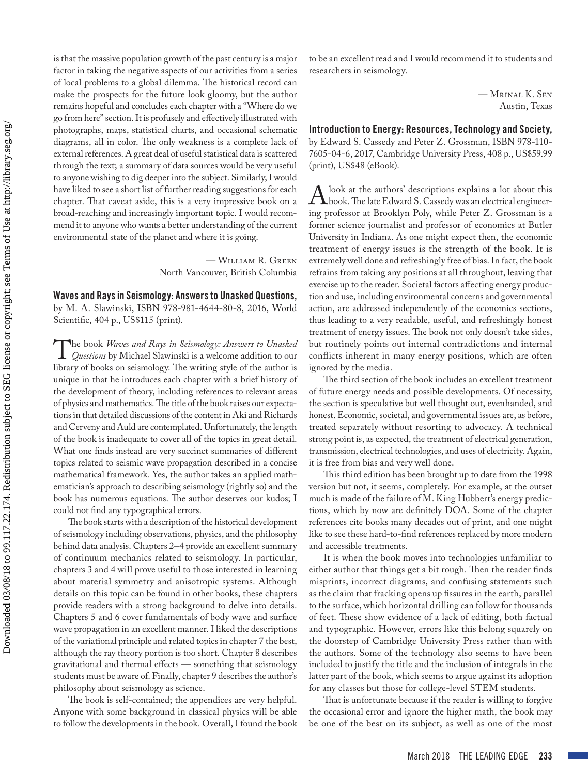is that the massive population growth of the past century is a major factor in taking the negative aspects of our activities from a series of local problems to a global dilemma. The historical record can make the prospects for the future look gloomy, but the author remains hopeful and concludes each chapter with a "Where do we go from here" section. It is profusely and effectively illustrated with photographs, maps, statistical charts, and occasional schematic diagrams, all in color. The only weakness is a complete lack of external references. A great deal of useful statistical data is scattered through the text; a summary of data sources would be very useful to anyone wishing to dig deeper into the subject. Similarly, I would have liked to see a short list of further reading suggestions for each chapter. That caveat aside, this is a very impressive book on a broad-reaching and increasingly important topic. I would recommend it to anyone who wants a better understanding of the current environmental state of the planet and where it is going.

> — William R. Green North Vancouver, British Columbia

Waves and Rays in Seismology: Answers to Unasked Questions, by M. A. Slawinski, ISBN 978-981-4644-80-8, 2016, World Scientific, 404 p., US\$115 (print).

The book *Waves and Rays in Seismology: Answers to Unasked*<br>*Questions* by Michael Slawinski is a welcome addition to our<br>library of books on seismology. The writing style of the author is library of books on seismology. The writing style of the author is unique in that he introduces each chapter with a brief history of the development of theory, including references to relevant areas of physics and mathematics. The title of the book raises our expectations in that detailed discussions of the content in Aki and Richards and Cerveny and Auld are contemplated. Unfortunately, the length of the book is inadequate to cover all of the topics in great detail. What one finds instead are very succinct summaries of different topics related to seismic wave propagation described in a concise mathematical framework. Yes, the author takes an applied mathematician's approach to describing seismology (rightly so) and the book has numerous equations. The author deserves our kudos; I could not find any typographical errors.

The book starts with a description of the historical development of seismology including observations, physics, and the philosophy behind data analysis. Chapters 2–4 provide an excellent summary of continuum mechanics related to seismology. In particular, chapters 3 and 4 will prove useful to those interested in learning about material symmetry and anisotropic systems. Although details on this topic can be found in other books, these chapters provide readers with a strong background to delve into details. Chapters 5 and 6 cover fundamentals of body wave and surface wave propagation in an excellent manner. I liked the descriptions of the variational principle and related topics in chapter 7 the best, although the ray theory portion is too short. Chapter 8 describes gravitational and thermal effects — something that seismology students must be aware of. Finally, chapter 9 describes the author's philosophy about seismology as science.

The book is self-contained; the appendices are very helpful. Anyone with some background in classical physics will be able to follow the developments in the book. Overall, I found the book

to be an excellent read and I would recommend it to students and researchers in seismology.

> — Mrinal K. Sen Austin, Texas

Introduction to Energy: Resources, Technology and Society, by Edward S. Cassedy and Peter Z. Grossman, ISBN 978-110- 7605-04-6, 2017, Cambridge University Press, 408 p., US\$59.99 (print), US\$48 (eBook).

A look at the authors' descriptions explains a lot about this<br>hook. The late Edward S. Cassedy was an electrical engineer-<br>ing professor at Brooklyn Poly, while Peter Z. Grossman is a ing professor at Brooklyn Poly, while Peter Z. Grossman is a former science journalist and professor of economics at Butler University in Indiana. As one might expect then, the economic treatment of energy issues is the strength of the book. It is extremely well done and refreshingly free of bias. In fact, the book refrains from taking any positions at all throughout, leaving that exercise up to the reader. Societal factors affecting energy production and use, including environmental concerns and governmental action, are addressed independently of the economics sections, thus leading to a very readable, useful, and refreshingly honest treatment of energy issues. The book not only doesn't take sides, but routinely points out internal contradictions and internal conflicts inherent in many energy positions, which are often ignored by the media.

The third section of the book includes an excellent treatment of future energy needs and possible developments. Of necessity, the section is speculative but well thought out, evenhanded, and honest. Economic, societal, and governmental issues are, as before, treated separately without resorting to advocacy. A technical strong point is, as expected, the treatment of electrical generation, transmission, electrical technologies, and uses of electricity. Again, it is free from bias and very well done.

This third edition has been brought up to date from the 1998 version but not, it seems, completely. For example, at the outset much is made of the failure of M. King Hubbert's energy predictions, which by now are definitely DOA. Some of the chapter references cite books many decades out of print, and one might like to see these hard-to-find references replaced by more modern and accessible treatments.

It is when the book moves into technologies unfamiliar to either author that things get a bit rough. Then the reader finds misprints, incorrect diagrams, and confusing statements such as the claim that fracking opens up fissures in the earth, parallel to the surface, which horizontal drilling can follow for thousands of feet. These show evidence of a lack of editing, both factual and typographic. However, errors like this belong squarely on the doorstep of Cambridge University Press rather than with the authors. Some of the technology also seems to have been included to justify the title and the inclusion of integrals in the latter part of the book, which seems to argue against its adoption for any classes but those for college-level STEM students.

That is unfortunate because if the reader is willing to forgive the occasional error and ignore the higher math, the book may be one of the best on its subject, as well as one of the most